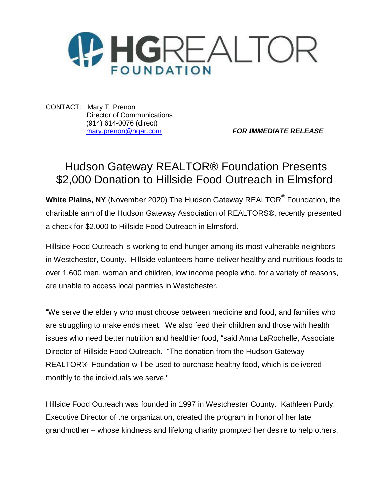

CONTACT: Mary T. Prenon Director of Communications (914) 614-0076 (direct)

[mary.prenon@hgar.com](mailto:mary.prenon@hgar.com) *FOR IMMEDIATE RELEASE*

## Hudson Gateway REALTOR® Foundation Presents \$2,000 Donation to Hillside Food Outreach in Elmsford

**White Plains, NY** (November 2020) The Hudson Gateway REALTOR® Foundation, the charitable arm of the Hudson Gateway Association of REALTORS®, recently presented a check for \$2,000 to Hillside Food Outreach in Elmsford.

Hillside Food Outreach is working to end hunger among its most vulnerable neighbors in Westchester, County. Hillside volunteers home-deliver healthy and nutritious foods to over 1,600 men, woman and children, low income people who, for a variety of reasons, are unable to access local pantries in Westchester.

"We serve the elderly who must choose between medicine and food, and families who are struggling to make ends meet. We also feed their children and those with health issues who need better nutrition and healthier food, "said Anna LaRochelle, Associate Director of Hillside Food Outreach. "The donation from the Hudson Gateway REALTOR® Foundation will be used to purchase healthy food, which is delivered monthly to the individuals we serve."

Hillside Food Outreach was founded in 1997 in Westchester County. Kathleen Purdy, Executive Director of the organization, created the program in honor of her late grandmother – whose kindness and lifelong charity prompted her desire to help others.